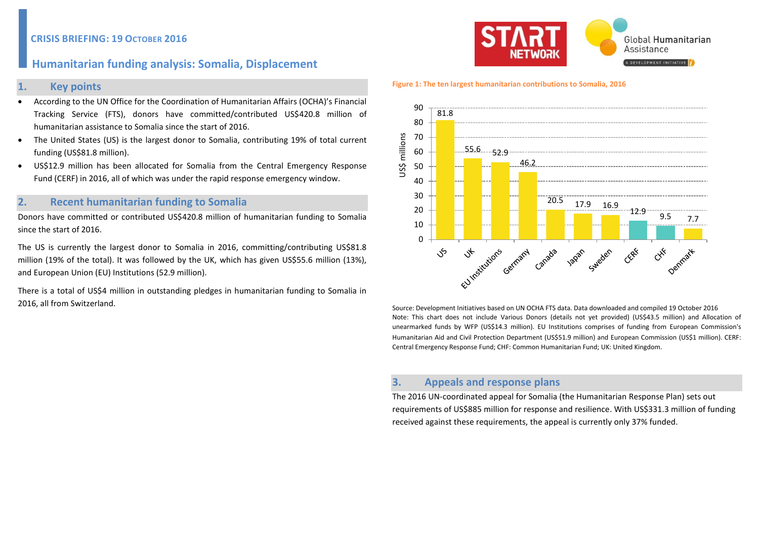## **CRISIS BRIEFING: 19 OCTOBER 2016**

# **Humanitarian funding analysis: Somalia, Displacement**

### **1. Key points**

- According to the UN Office for the Coordination of Humanitarian Affairs (OCHA)'s Financial Tracking Service (FTS), donors have committed/contributed US\$420.8 million of humanitarian assistance to Somalia since the start of 2016.
- The United States (US) is the largest donor to Somalia, contributing 19% of total current funding (US\$81.8 million).
- US\$12.9 million has been allocated for Somalia from the Central Emergency Response Fund (CERF) in 2016, all of which was under the rapid response emergency window.

## **2. Recent humanitarian funding to Somalia**

Donors have committed or contributed US\$420.8 million of humanitarian funding to Somalia since the start of 2016.

The US is currently the largest donor to Somalia in 2016, committing/contributing US\$81.8 million (19% of the total). It was followed by the UK, which has given US\$55.6 million (13%), and European Union (EU) Institutions (52.9 million).

There is a total of US\$4 million in outstanding pledges in humanitarian funding to Somalia in 2016, all from Switzerland.



#### **Figure 1: The ten largest humanitarian contributions to Somalia, 2016**



Source: Development Initiatives based on UN OCHA FTS data. Data downloaded and compiled 19 October 2016 Note: This chart does not include Various Donors (details not yet provided) (US\$43.5 million) and Allocation of unearmarked funds by WFP (US\$14.3 million). EU Institutions comprises of funding from European Commission's Humanitarian Aid and Civil Protection Department (US\$51.9 million) and European Commission (US\$1 million). CERF: Central Emergency Response Fund; CHF: Common Humanitarian Fund; UK: United Kingdom.

## **3. Appeals and response plans**

The 2016 UN-coordinated appeal for Somalia (the Humanitarian Response Plan) sets out requirements of US\$885 million for response and resilience. With US\$331.3 million of funding received against these requirements, the appeal is currently only 37% funded.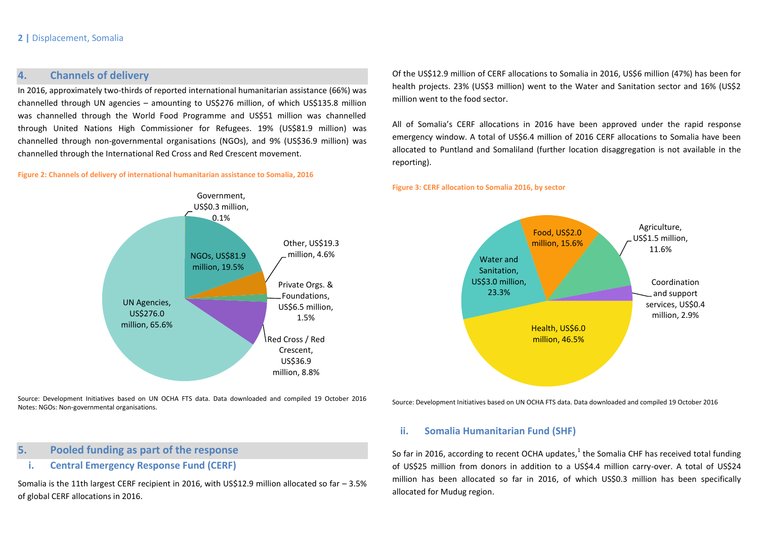### **2 |** Displacement, Somalia

## **4. Channels of delivery**

In 2016, approximately two-thirds of reported international humanitarian assistance (66%) was channelled through UN agencies – amounting to US\$276 million, of which US\$135.8 million was channelled through the World Food Programme and US\$51 million was channelled through United Nations High Commissioner for Refugees. 19% (US\$81.9 million) was channelled through non-governmental organisations (NGOs), and 9% (US\$36.9 million) was channelled through the International Red Cross and Red Crescent movement.

#### **Figure 2: Channels of delivery of international humanitarian assistance to Somalia, 2016**

Government, US\$0.3 million, 0.1% NGOs, US\$81.9 million, 19.5% Other, US\$19.3 million, 4.6% Private Orgs. & Foundations, US\$6.5 million, 1.5% Red Cross / Red Crescent, US\$36.9 million, 8.8% UN Agencies, US\$276.0 million, 65.6% **Health, US\$6.0** 

Source: Development Initiatives based on UN OCHA FTS data. Data downloaded and compiled 19 October 2016 Notes: NGOs: Non-governmental organisations.

## **5. Pooled funding as part of the response**

## **i. Central Emergency Response Fund (CERF)**

Somalia is the 11th largest CERF recipient in 2016, with US\$12.9 million allocated so far – 3.5% of global CERF allocations in 2016.

Of the US\$12.9 million of CERF allocations to Somalia in 2016, US\$6 million (47%) has been for health projects. 23% (US\$3 million) went to the Water and Sanitation sector and 16% (US\$2 million went to the food sector.

All of Somalia's CERF allocations in 2016 have been approved under the rapid response emergency window. A total of US\$6.4 million of 2016 CERF allocations to Somalia have been allocated to Puntland and Somaliland (further location disaggregation is not available in the reporting).

#### **Figure 3: CERF allocation to Somalia 2016, by sector**



Source: Development Initiatives based on UN OCHA FTS data. Data downloaded and compiled 19 October 2016

### **ii. Somalia Humanitarian Fund (SHF)**

So far in 2016, according to recent OCHA updates, $^{1}$  the Somalia CHF has received total funding of US\$25 million from donors in addition to a US\$4.4 million carry-over. A total of US\$24 million has been allocated so far in 2016, of which US\$0.3 million has been specifically allocated for Mudug region.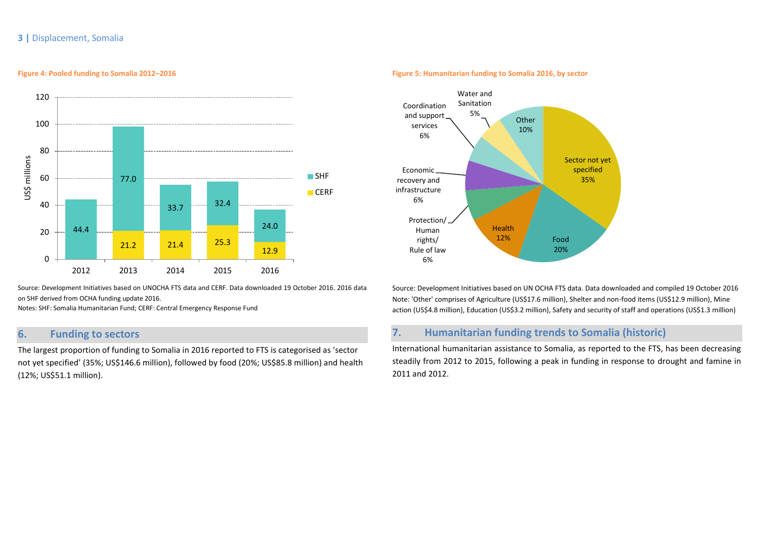### **3 |** Displacement, Somalia

#### **Figure 4: Pooled funding to Somalia 2012–2016**



Source: Development Initiatives based on UNOCHA FTS data and CERF. Data downloaded 19 October 2016. 2016 data on SHF derived from OCHA funding update 2016.

Notes: SHF: Somalia Humanitarian Fund; CERF: Central Emergency Response Fund

# **6. Funding to sectors**

The largest proportion of funding to Somalia in 2016 reported to FTS is categorised as 'sector not yet specified' (35%; US\$146.6 million), followed by food (20%; US\$85.8 million) and health (12%; US\$51.1 million).

#### **Figure 5: Humanitarian funding to Somalia 2016, by sector**



Source: Development Initiatives based on UN OCHA FTS data. Data downloaded and compiled 19 October 2016 Note: 'Other' comprises of Agriculture (US\$17.6 million), Shelter and non-food items (US\$12.9 million), Mine action (US\$4.8 million), Education (US\$3.2 million), Safety and security of staff and operations (US\$1.3 million)

## **7. Humanitarian funding trends to Somalia (historic)**

International humanitarian assistance to Somalia, as reported to the FTS, has been decreasing steadily from 2012 to 2015, following a peak in funding in response to drought and famine in 2011 and 2012.